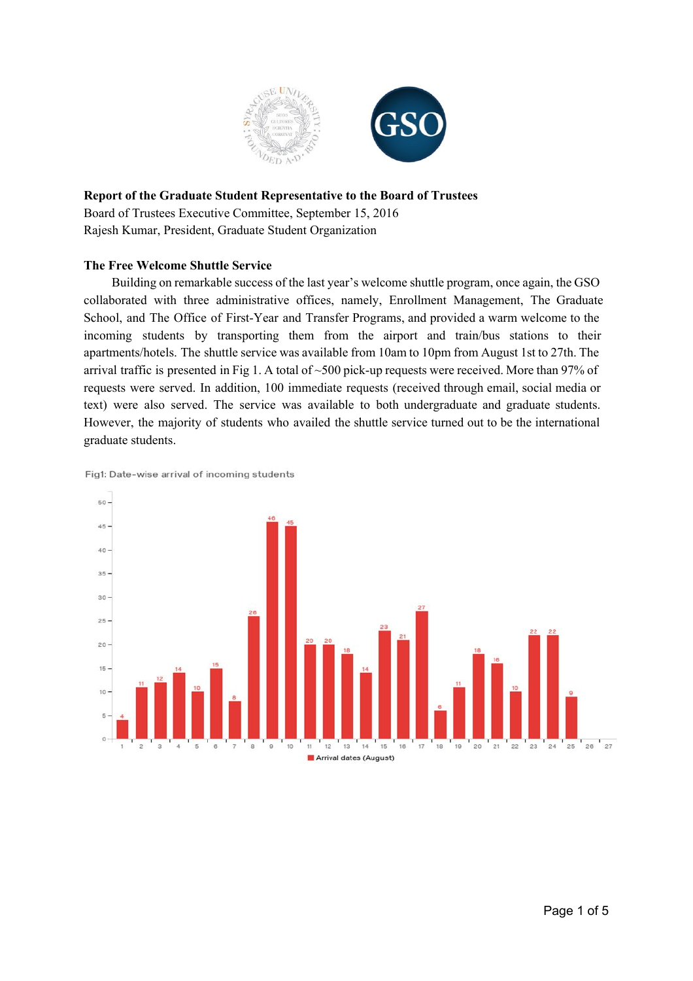

## **Report of the Graduate Student Representative to the Board of Trustees**

Board of Trustees Executive Committee, September 15, 2016 Rajesh Kumar, President, Graduate Student Organization

## **The Free Welcome Shuttle Service**

Building on remarkable success of the last year's welcome shuttle program, once again, the GSO collaborated with three administrative offices, namely, Enrollment Management, The Graduate School, and The Office of First-Year and Transfer Programs, and provided a warm welcome to the incoming students by transporting them from the airport and train/bus stations to their apartments/hotels. The shuttle service was available from 10am to 10pm from August 1st to 27th. The arrival traffic is presented in Fig 1. A total of  $\sim$  500 pick-up requests were received. More than 97% of requests were served. In addition, 100 immediate requests (received through email, social media or text) were also served. The service was available to both undergraduate and graduate students. However, the majority of students who availed the shuttle service turned out to be the international graduate students.

Fig1: Date-wise arrival of incoming students

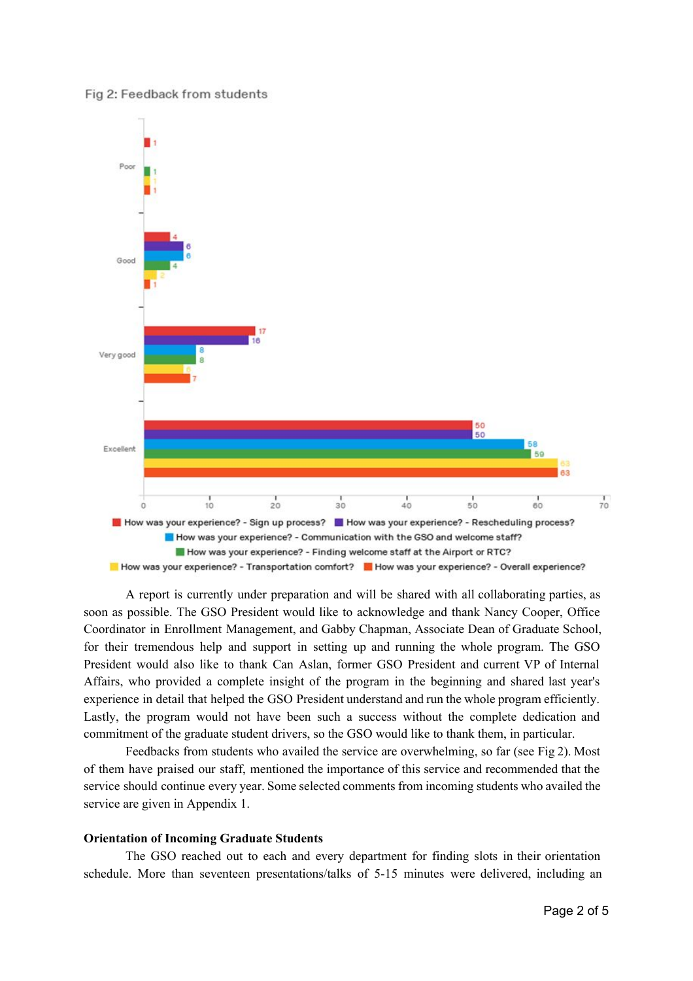



A report is currently under preparation and will be shared with all collaborating parties, as soon as possible. The GSO President would like to acknowledge and thank Nancy Cooper, Office Coordinator in Enrollment Management, and Gabby Chapman, Associate Dean of Graduate School, for their tremendous help and support in setting up and running the whole program. The GSO President would also like to thank Can Aslan, former GSO President and current VP of Internal Affairs, who provided a complete insight of the program in the beginning and shared last year's experience in detail that helped the GSO President understand and run the whole program efficiently. Lastly, the program would not have been such a success without the complete dedication and commitment of the graduate student drivers, so the GSO would like to thank them, in particular.

Feedbacks from students who availed the service are overwhelming, so far (see Fig 2). Most of them have praised our staff, mentioned the importance of this service and recommended that the service should continue every year. Some selected comments from incoming students who availed the service are given in Appendix 1.

#### **Orientation of Incoming Graduate Students**

The GSO reached out to each and every department for finding slots in their orientation schedule. More than seventeen presentations/talks of 5-15 minutes were delivered, including an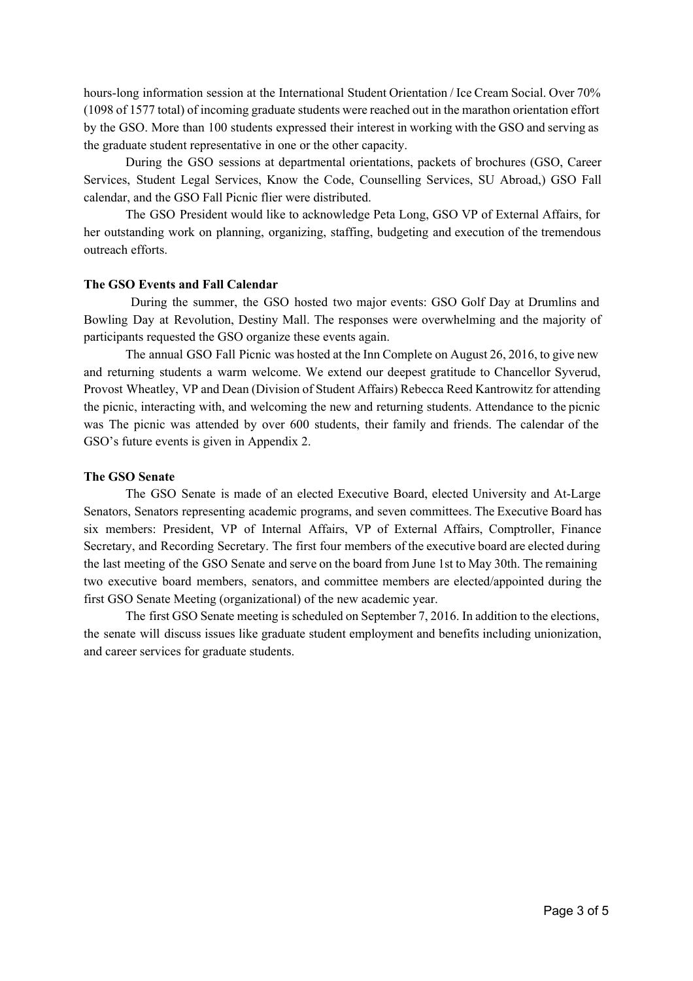hours-long information session at the International Student Orientation / Ice Cream Social. Over 70% (1098 of 1577 total) of incoming graduate students were reached out in the marathon orientation effort by the GSO. More than 100 students expressed their interest in working with the GSO and serving as the graduate student representative in one or the other capacity.

During the GSO sessions at departmental orientations, packets of brochures (GSO, Career Services, Student Legal Services, Know the Code, Counselling Services, SU Abroad,) GSO Fall calendar, and the GSO Fall Picnic flier were distributed.

The GSO President would like to acknowledge Peta Long, GSO VP of External Affairs, for her outstanding work on planning, organizing, staffing, budgeting and execution of the tremendous outreach efforts.

#### **The GSO Events and Fall Calendar**

During the summer, the GSO hosted two major events: GSO Golf Day at Drumlins and Bowling Day at Revolution, Destiny Mall. The responses were overwhelming and the majority of participants requested the GSO organize these events again.

The annual GSO Fall Picnic was hosted at the Inn Complete on August 26, 2016, to give new and returning students a warm welcome. We extend our deepest gratitude to Chancellor Syverud, Provost Wheatley, VP and Dean (Division of Student Affairs) Rebecca Reed Kantrowitz for attending the picnic, interacting with, and welcoming the new and returning students. Attendance to the picnic was The picnic was attended by over 600 students, their family and friends. The calendar of the GSO's future events is given in Appendix 2.

#### **The GSO Senate**

The GSO Senate is made of an elected Executive Board, elected University and AtLarge Senators, Senators representing academic programs, and seven committees. The Executive Board has six members: President, VP of Internal Affairs, VP of External Affairs, Comptroller, Finance Secretary, and Recording Secretary. The first four members of the executive board are elected during the last meeting of the GSO Senate and serve on the board from June 1st to May 30th. The remaining two executive board members, senators, and committee members are elected/appointed during the first GSO Senate Meeting (organizational) of the new academic year.

The first GSO Senate meeting is scheduled on September 7, 2016. In addition to the elections, the senate will discuss issues like graduate student employment and benefits including unionization, and career services for graduate students.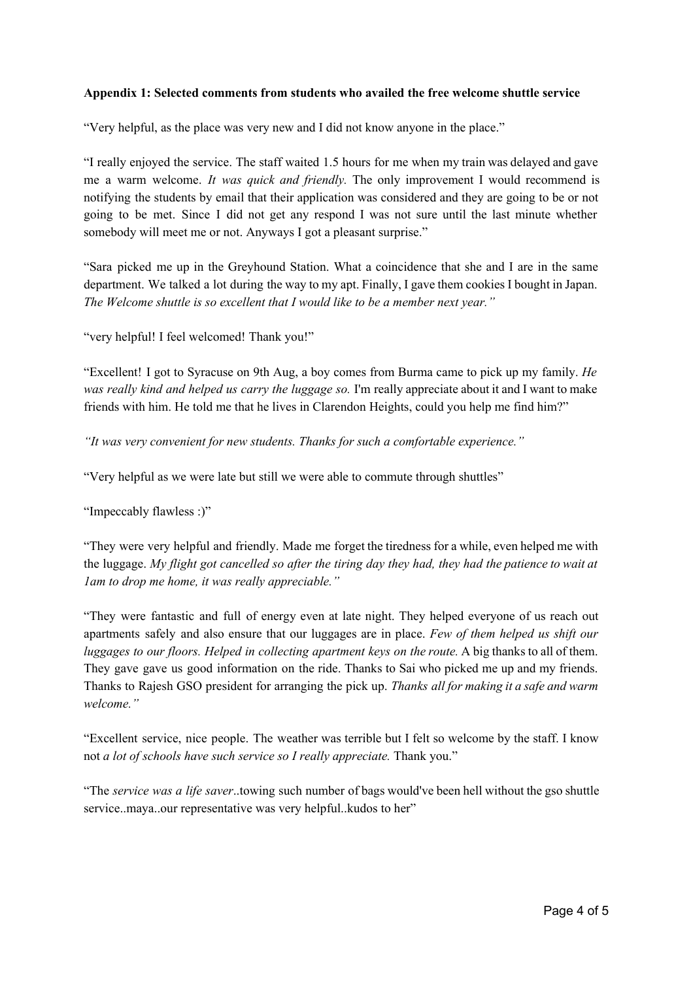### **Appendix 1: Selected comments from students who availed the free welcome shuttle service**

"Very helpful, as the place was very new and I did not know anyone in the place."

"I really enjoyed the service. The staff waited 1.5 hours for me when my train was delayed and gave me a warm welcome. *It was quick and friendly.* The only improvement I would recommend is notifying the students by email that their application was considered and they are going to be or not going to be met. Since I did not get any respond I was not sure until the last minute whether somebody will meet me or not. Anyways I got a pleasant surprise."

"Sara picked me up in the Greyhound Station. What a coincidence that she and I are in the same department. We talked a lot during the way to my apt. Finally, I gave them cookies I bought in Japan. *The Welcome shuttle is so excellent that I would like to be a member next year."*

"very helpful! I feel welcomed! Thank you!"

"Excellent! I got to Syracuse on 9th Aug, a boy comes from Burma came to pick up my family. *He was really kind and helped us carry the luggage so.* I'm really appreciate about it and I want to make friends with him. He told me that he lives in Clarendon Heights, could you help me find him?"

*"It was very convenient for new students. Thanks for such a comfortable experience."*

"Very helpful as we were late but still we were able to commute through shuttles"

"Impeccably flawless :)"

"They were very helpful and friendly. Made me forget the tiredness for a while, even helped me with the luggage. My flight got cancelled so after the tiring day they had, they had the patience to wait at *1am to drop me home, it was really appreciable."*

"They were fantastic and full of energy even at late night. They helped everyone of us reach out apartments safely and also ensure that our luggages are in place. *Few of them helped us shift our luggages to our floors. Helped in collecting apartment keys on the route.* A big thanks to all of them. They gave gave us good information on the ride. Thanks to Sai who picked me up and my friends. Thanks to Rajesh GSO president for arranging the pick up. *Thanks all for making it a safe and warm welcome."*

"Excellent service, nice people. The weather was terrible but I felt so welcome by the staff. I know not *a lot of schools have such service so I really appreciate.* Thank you."

"The *service was a life saver*..towing such number of bags would've been hell without the gso shuttle service..maya..our representative was very helpful..kudos to her"